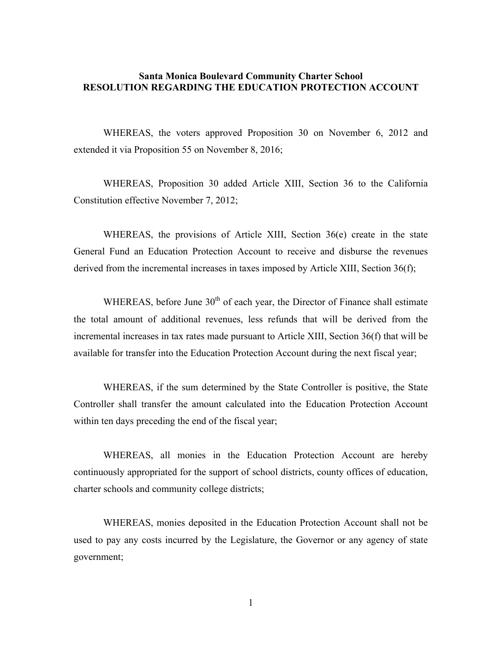## **Santa Monica Boulevard Community Charter School RESOLUTION REGARDING THE EDUCATION PROTECTION ACCOUNT**

WHEREAS, the voters approved Proposition 30 on November 6, 2012 and extended it via Proposition 55 on November 8, 2016;

WHEREAS, Proposition 30 added Article XIII, Section 36 to the California Constitution effective November 7, 2012;

WHEREAS, the provisions of Article XIII, Section 36(e) create in the state General Fund an Education Protection Account to receive and disburse the revenues derived from the incremental increases in taxes imposed by Article XIII, Section 36(f);

WHEREAS, before June  $30<sup>th</sup>$  of each year, the Director of Finance shall estimate the total amount of additional revenues, less refunds that will be derived from the incremental increases in tax rates made pursuant to Article XIII, Section 36(f) that will be available for transfer into the Education Protection Account during the next fiscal year;

WHEREAS, if the sum determined by the State Controller is positive, the State Controller shall transfer the amount calculated into the Education Protection Account within ten days preceding the end of the fiscal year;

WHEREAS, all monies in the Education Protection Account are hereby continuously appropriated for the support of school districts, county offices of education, charter schools and community college districts;

WHEREAS, monies deposited in the Education Protection Account shall not be used to pay any costs incurred by the Legislature, the Governor or any agency of state government;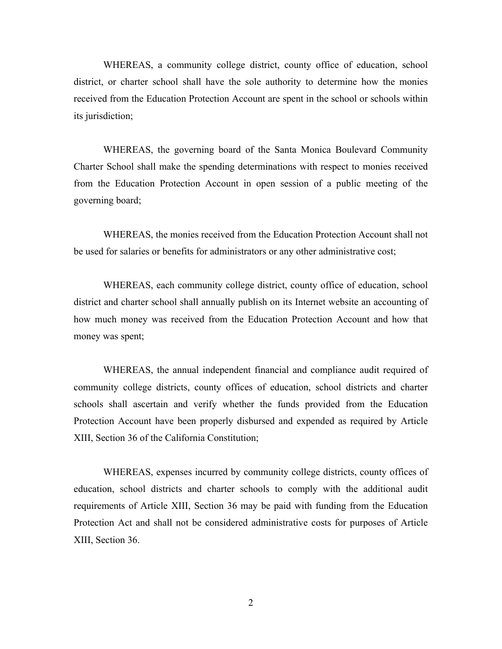WHEREAS, a community college district, county office of education, school district, or charter school shall have the sole authority to determine how the monies received from the Education Protection Account are spent in the school or schools within its jurisdiction;

WHEREAS, the governing board of the Santa Monica Boulevard Community Charter School shall make the spending determinations with respect to monies received from the Education Protection Account in open session of a public meeting of the governing board;

WHEREAS, the monies received from the Education Protection Account shall not be used for salaries or benefits for administrators or any other administrative cost;

WHEREAS, each community college district, county office of education, school district and charter school shall annually publish on its Internet website an accounting of how much money was received from the Education Protection Account and how that money was spent;

WHEREAS, the annual independent financial and compliance audit required of community college districts, county offices of education, school districts and charter schools shall ascertain and verify whether the funds provided from the Education Protection Account have been properly disbursed and expended as required by Article XIII, Section 36 of the California Constitution;

WHEREAS, expenses incurred by community college districts, county offices of education, school districts and charter schools to comply with the additional audit requirements of Article XIII, Section 36 may be paid with funding from the Education Protection Act and shall not be considered administrative costs for purposes of Article XIII, Section 36.